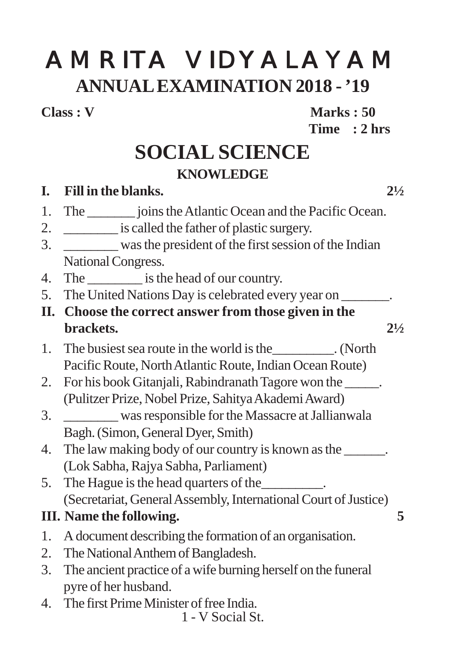# AMRITA VIDYALAYAM **ANNUAL EXAMINATION 2018 - '19**

**Class : V Marks : 50 Time : 2 hrs**

# **SOCIAL SCIENCE KNOWLEDGE**

# 1 - V Social St. **I. Fill in the blanks. 2½** 1. The joins the Atlantic Ocean and the Pacific Ocean. 2. \_\_\_\_\_\_\_\_ is called the father of plastic surgery. 3. \_\_\_\_\_\_\_\_ was the president of the first session of the Indian National Congress. 4. The is the head of our country. 5. The United Nations Day is celebrated every year on  $\qquad \qquad$ . **II. Choose the correct answer from those given in the brackets.** 2½ 1. The busiest sea route in the world is the\_\_\_\_\_\_\_\_\_. (North Pacific Route, North Atlantic Route, Indian Ocean Route) 2. For his book Gitanjali, Rabindranath Tagore won the (Pulitzer Prize, Nobel Prize, Sahitya Akademi Award) 3. \_\_\_\_\_\_\_\_ was responsible for the Massacre at Jallianwala Bagh. (Simon, General Dyer, Smith) 4. The law making body of our country is known as the \_\_\_\_\_\_. (Lok Sabha, Rajya Sabha, Parliament) 5. The Hague is the head quarters of the\_\_\_\_\_\_\_\_\_. (Secretariat, General Assembly, International Court of Justice) **III. Name the following. 5** 1. A document describing the formation of an organisation. 2. The National Anthem of Bangladesh. 3. The ancient practice of a wife burning herself on the funeral pyre of her husband. 4. The first Prime Minister of free India.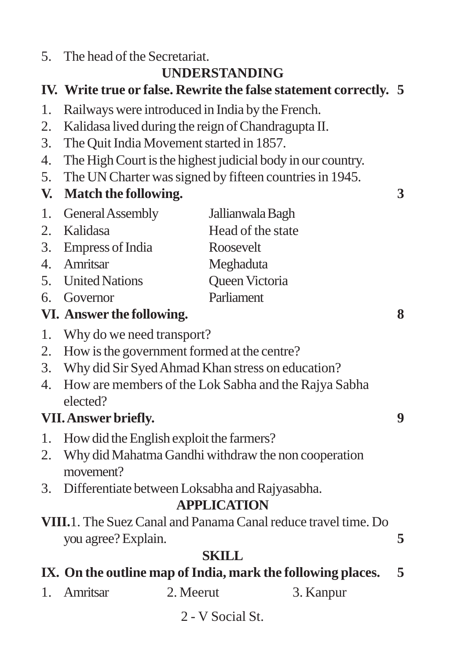5. The head of the Secretariat.

# **UNDERSTANDING**

# **IV. Write true or false. Rewrite the false statement correctly. 5**

- 1. Railways were introduced in India by the French.
- 2. Kalidasa lived during the reign of Chandragupta II.
- 3. The Quit India Movement started in 1857.
- 4. The High Court is the highest judicial body in our country.
- 5. The UN Charter was signed by fifteen countries in 1945.

## **V. Match the following. 3**

| 1. General Assembly | Jallianwala Bagh  |
|---------------------|-------------------|
| 2. Kalidasa         | Head of the state |
| 3. Empress of India | Roosevelt         |
| 4. Amritsar         | Meghaduta         |
| 5. United Nations   | Queen Victoria    |
| 6. Governor         | Parliament        |

#### **VI. Answer the following. 8**

- 1. Why do we need transport?
- 2. How is the government formed at the centre?
- 3. Why did Sir Syed Ahmad Khan stress on education?
- 4. How are members of the Lok Sabha and the Rajya Sabha elected?

## **VII. Answer briefly. 9**

- 1. How did the English exploit the farmers?
- 2. Why did Mahatma Gandhi withdraw the non cooperation movement?
- 3. Differentiate between Loksabha and Rajyasabha.

#### **APPLICATION**

**VIII.**1. The Suez Canal and Panama Canal reduce travel time. Do you agree? Explain. **5**

## **SKILL**

# **IX. On the outline map of India, mark the following places. 5**

- 1. Amritsar 2. Meerut 3. Kanpur
	- 2 V Social St.